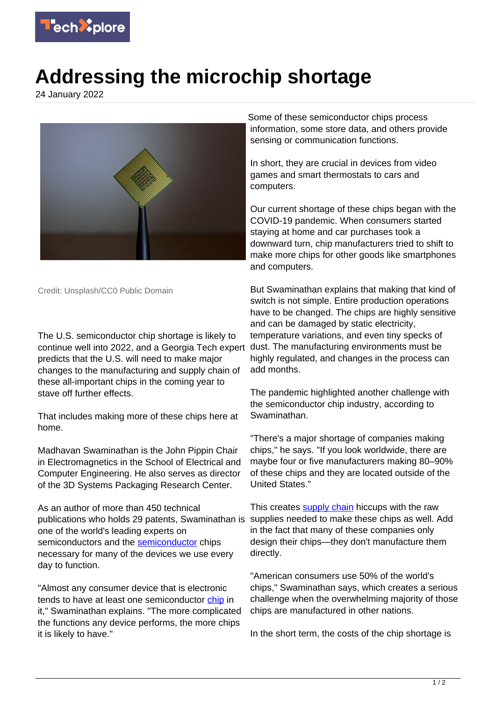

## **Addressing the microchip shortage**

24 January 2022



Credit: Unsplash/CC0 Public Domain

The U.S. semiconductor chip shortage is likely to continue well into 2022, and a Georgia Tech expert predicts that the U.S. will need to make major changes to the manufacturing and supply chain of these all-important chips in the coming year to stave off further effects.

That includes making more of these chips here at home.

Madhavan Swaminathan is the John Pippin Chair in Electromagnetics in the School of Electrical and Computer Engineering. He also serves as director of the 3D Systems Packaging Research Center.

As an author of more than 450 technical publications who holds 29 patents, Swaminathan is one of the world's leading experts on semiconductors and the [semiconductor](https://techxplore.com/tags/semiconductor/) chips necessary for many of the devices we use every day to function.

"Almost any consumer device that is electronic tends to have at least one semiconductor [chip](https://techxplore.com/tags/chip/) in it," Swaminathan explains. "The more complicated the functions any device performs, the more chips it is likely to have."

Some of these semiconductor chips process information, some store data, and others provide sensing or communication functions.

In short, they are crucial in devices from video games and smart thermostats to cars and computers.

Our current shortage of these chips began with the COVID-19 pandemic. When consumers started staying at home and car purchases took a downward turn, chip manufacturers tried to shift to make more chips for other goods like smartphones and computers.

But Swaminathan explains that making that kind of switch is not simple. Entire production operations have to be changed. The chips are highly sensitive and can be damaged by static electricity, temperature variations, and even tiny specks of dust. The manufacturing environments must be highly regulated, and changes in the process can add months.

The pandemic highlighted another challenge with the semiconductor chip industry, according to Swaminathan.

"There's a major shortage of companies making chips," he says. "If you look worldwide, there are maybe four or five manufacturers making 80–90% of these chips and they are located outside of the United States."

This creates [supply chain](https://techxplore.com/tags/supply+chain/) hiccups with the raw supplies needed to make these chips as well. Add in the fact that many of these companies only design their chips—they don't manufacture them directly.

"American consumers use 50% of the world's chips," Swaminathan says, which creates a serious challenge when the overwhelming majority of those chips are manufactured in other nations.

In the short term, the costs of the chip shortage is